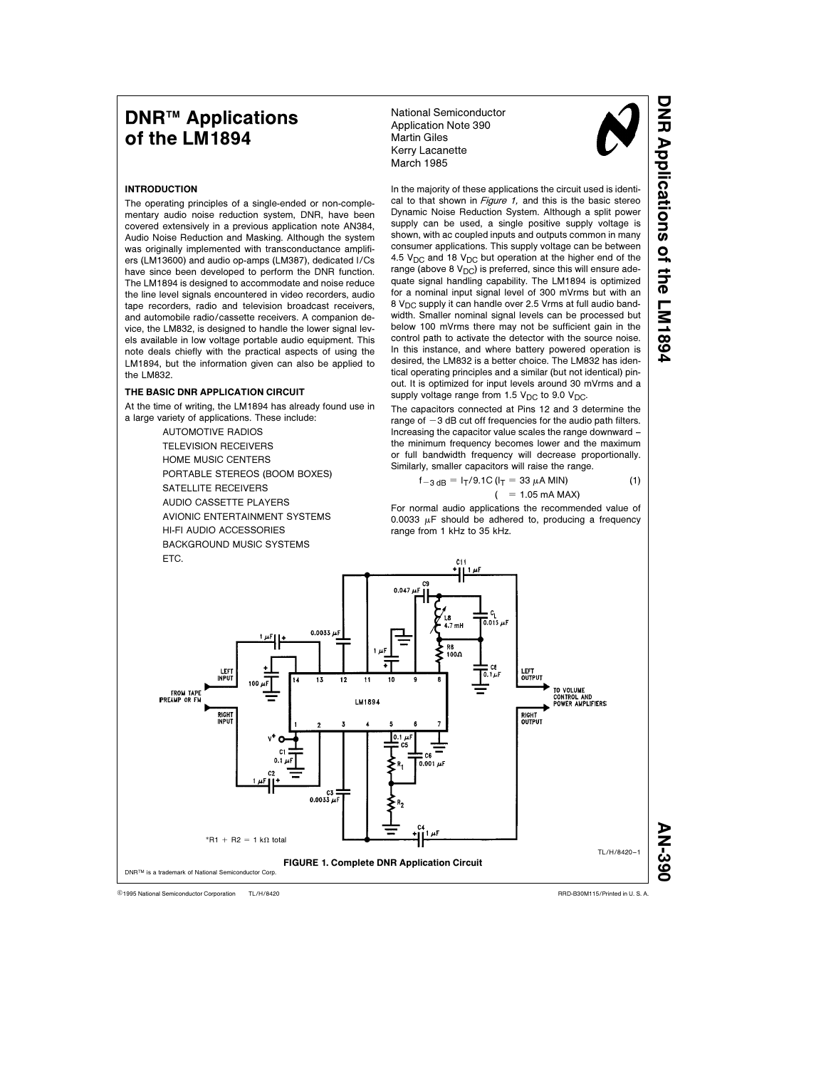# **DNR<sup>™</sup> Applications** of the LM1894

National Semiconductor Application Note 390 Martin Giles Kerry Lacanette March 1985



D<br>R<br>R

Applications

of the LM1894

## INTRODUCTION

The operating principles of a single-ended or non-complementary audio noise reduction system, DNR, have been covered extensively in a previous application note AN384, Audio Noise Reduction and Masking. Although the system was originally implemented with transconductance amplifiers (LM13600) and audio op-amps (LM387), dedicated I/Cs have since been developed to perform the DNR function. The LM1894 is designed to accommodate and noise reduce the line level signals encountered in video recorders, audio tape recorders, radio and television broadcast receivers, and automobile radio/cassette receivers. A companion device, the LM832, is designed to handle the lower signal levels available in low voltage portable audio equipment. This note deals chiefly with the practical aspects of using the LM1894, but the information given can also be applied to the LM832.

## THE BASIC DNR APPLICATION CIRCUIT

At the time of writing, the LM1894 has already found use in a large variety of applications. These include:

> AUTOMOTIVE RADIOS TELEVISION RECEIVERS HOME MUSIC CENTERS PORTABLE STEREOS (BOOM BOXES) SATELLITE RECEIVERS AUDIO CASSETTE PLAYERS AVIONIC ENTERTAINMENT SYSTEMS HI-FI AUDIO ACCESSORIES BACKGROUND MUSIC SYSTEMS ETC.

In the majority of these applications the circuit used is identical to that shown in Figure 1, and this is the basic stereo Dynamic Noise Reduction System. Although a split power supply can be used, a single positive supply voltage is shown, with ac coupled inputs and outputs common in many consumer applications. This supply voltage can be between 4.5  $V_{DC}$  and 18  $V_{DC}$  but operation at the higher end of the range (above 8  $V_{DC}$ ) is preferred, since this will ensure adequate signal handling capability. The LM1894 is optimized for a nominal input signal level of 300 mVrms but with an  $8$  V<sub>DC</sub> supply it can handle over 2.5 Vrms at full audio bandwidth. Smaller nominal signal levels can be processed but below 100 mVrms there may not be sufficient gain in the control path to activate the detector with the source noise. In this instance, and where battery powered operation is desired, the LM832 is a better choice. The LM832 has identical operating principles and a similar (but not identical) pinout. It is optimized for input levels around 30 mVrms and a supply voltage range from 1.5  $V_{DC}$  to 9.0  $V_{DC}$ .

The capacitors connected at Pins 12 and 3 determine the range of  $-3$  dB cut off frequencies for the audio path filters. Increasing the capacitor value scales the range downward – the minimum frequency becomes lower and the maximum or full bandwidth frequency will decrease proportionally. Similarly, smaller capacitors will raise the range.

$$
f_{-3 dB} = I_T/9.1C (I_T = 33 \mu A MIN)
$$
  
(= 1.05 mA MAX) (1)

For normal audio applications the recommended value of 0.0033  $\mu$ F should be adhered to, producing a frequency range from 1 kHz to 35 kHz.



TL/H/8420 <sup>C</sup>1995 National Semiconductor Corporation RRD-B30M115/Printed in U. S. A.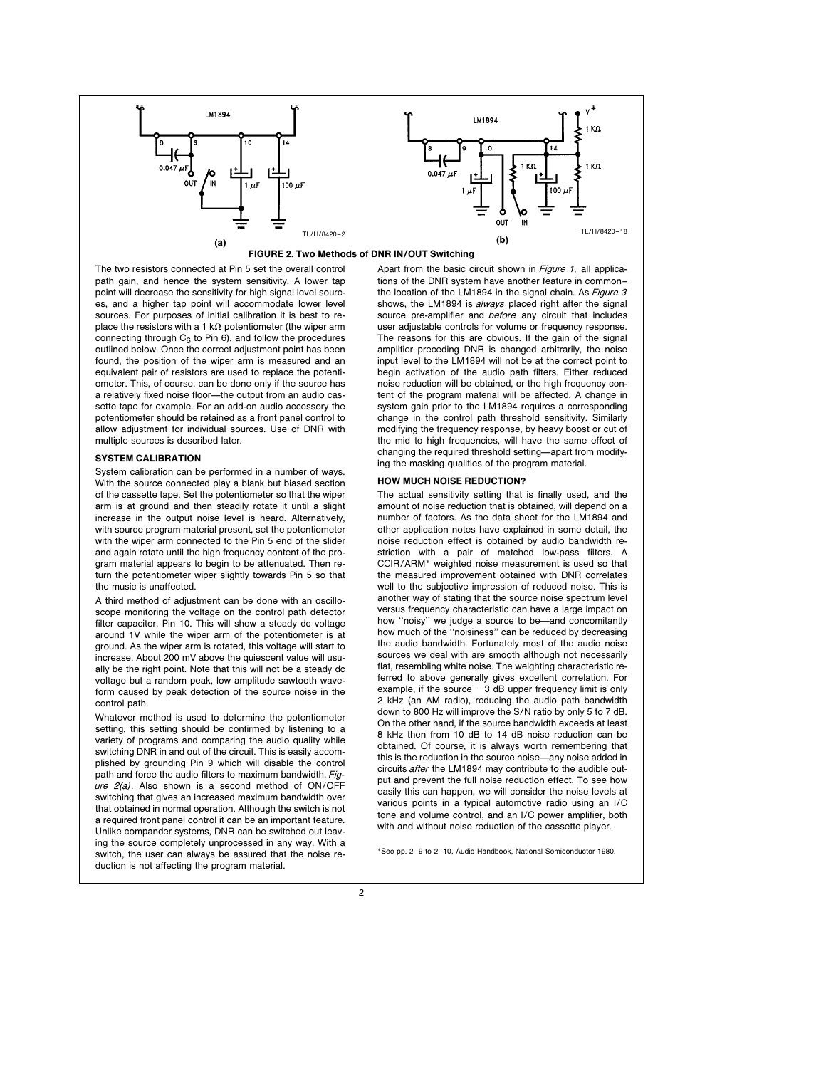

## FIGURE 2. Two Methods of DNR IN/OUT Switching

The two resistors connected at Pin 5 set the overall control path gain, and hence the system sensitivity. A lower tap point will decrease the sensitivity for high signal level sources, and a higher tap point will accommodate lower level sources. For purposes of initial calibration it is best to replace the resistors with a 1 k $\Omega$  potentiometer (the wiper arm connecting through  $C_6$  to Pin 6), and follow the procedures outlined below. Once the correct adjustment point has been found, the position of the wiper arm is measured and an equivalent pair of resistors are used to replace the potentiometer. This, of course, can be done only if the source has a relatively fixed noise floor-the output from an audio cassette tape for example. For an add-on audio accessory the potentiometer should be retained as a front panel control to allow adjustment for individual sources. Use of DNR with multiple sources is described later.

## SYSTEM CALIBRATION

System calibration can be performed in a number of ways. With the source connected play a blank but biased section of the cassette tape. Set the potentiometer so that the wiper arm is at ground and then steadily rotate it until a slight increase in the output noise level is heard. Alternatively, with source program material present, set the potentiometer with the wiper arm connected to the Pin 5 end of the slider and again rotate until the high frequency content of the program material appears to begin to be attenuated. Then return the potentiometer wiper slightly towards Pin 5 so that the music is unaffected.

A third method of adjustment can be done with an oscilloscope monitoring the voltage on the control path detector filter capacitor, Pin 10. This will show a steady dc voltage around 1V while the wiper arm of the potentiometer is at ground. As the wiper arm is rotated, this voltage will start to increase. About 200 mV above the quiescent value will usually be the right point. Note that this will not be a steady dc voltage but a random peak, low amplitude sawtooth waveform caused by peak detection of the source noise in the control path.

Whatever method is used to determine the potentiometer setting, this setting should be confirmed by listening to a variety of programs and comparing the audio quality while switching DNR in and out of the circuit. This is easily accomplished by grounding Pin 9 which will disable the control path and force the audio filters to maximum bandwidth, Figure  $2(a)$ . Also shown is a second method of ON/OFF switching that gives an increased maximum bandwidth over that obtained in normal operation. Although the switch is not a required front panel control it can be an important feature. Unlike compander systems, DNR can be switched out leaving the source completely unprocessed in any way. With a switch, the user can always be assured that the noise reduction is not affecting the program material.

Apart from the basic circuit shown in Figure 1, all applications of the DNR system have another feature in common – the location of the LM1894 in the signal chain. As Figure 3 shows, the LM1894 is *always* placed right after the signal source pre-amplifier and before any circuit that includes user adjustable controls for volume or frequency response. The reasons for this are obvious. If the gain of the signal amplifier preceding DNR is changed arbitrarily, the noise input level to the LM1894 will not be at the correct point to begin activation of the audio path filters. Either reduced noise reduction will be obtained, or the high frequency content of the program material will be affected. A change in system gain prior to the LM1894 requires a corresponding change in the control path threshold sensitivity. Similarly modifying the frequency response, by heavy boost or cut of the mid to high frequencies, will have the same effect of changing the required threshold setting-apart from modifying the masking qualities of the program material.

## HOW MUCH NOISE REDUCTION?

The actual sensitivity setting that is finally used, and the amount of noise reduction that is obtained, will depend on a number of factors. As the data sheet for the LM1894 and other application notes have explained in some detail, the noise reduction effect is obtained by audio bandwidth restriction with a pair of matched low-pass filters. A CCIR/ARM\* weighted noise measurement is used so that the measured improvement obtained with DNR correlates well to the subjective impression of reduced noise. This is another way of stating that the source noise spectrum level versus frequency characteristic can have a large impact on how "noisy" we judge a source to be-and concomitantly how much of the ''noisiness'' can be reduced by decreasing the audio bandwidth. Fortunately most of the audio noise sources we deal with are smooth although not necessarily flat, resembling white noise. The weighting characteristic referred to above generally gives excellent correlation. For example, if the source  $-3$  dB upper frequency limit is only 2 kHz (an AM radio), reducing the audio path bandwidth down to 800 Hz will improve the S/N ratio by only 5 to 7 dB. On the other hand, if the source bandwidth exceeds at least 8 kHz then from 10 dB to 14 dB noise reduction can be obtained. Of course, it is always worth remembering that this is the reduction in the source noise—any noise added in circuits after the LM1894 may contribute to the audible output and prevent the full noise reduction effect. To see how easily this can happen, we will consider the noise levels at various points in a typical automotive radio using an I/C tone and volume control, and an I/C power amplifier, both with and without noise reduction of the cassette player.

\*See pp. 2–9 to 2–10, Audio Handbook, National Semiconductor 1980.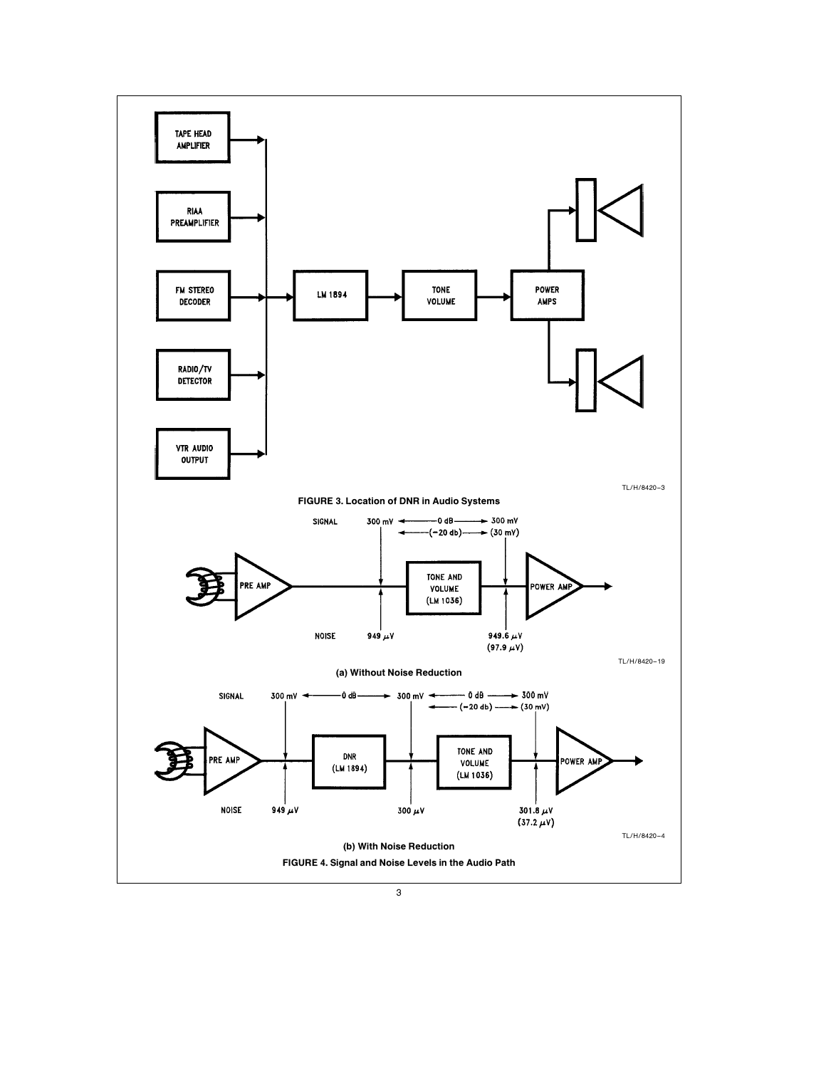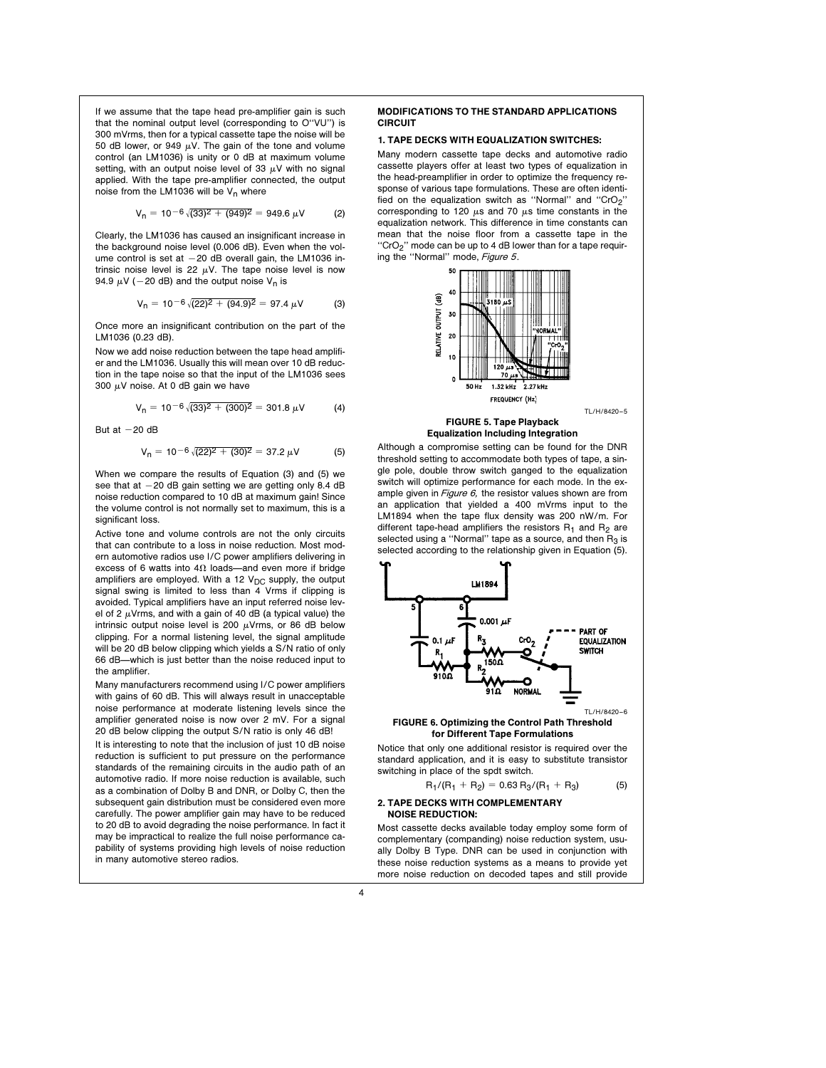If we assume that the tape head pre-amplifier gain is such that the nominal output level (corresponding to O''VU'') is 300 mVrms, then for a typical cassette tape the noise will be 50 dB lower, or 949  $\mu$ V. The gain of the tone and volume control (an LM1036) is unity or 0 dB at maximum volume setting, with an output noise level of 33  $\mu$ V with no signal applied. With the tape pre-amplifier connected, the output noise from the LM1036 will be  $V_n$  where

$$
V_n = 10^{-6} \sqrt{(33)^2 + (949)^2} = 949.6 \,\mu\text{V} \tag{2}
$$

Clearly, the LM1036 has caused an insignificant increase in the background noise level (0.006 dB). Even when the volume control is set at  $-20$  dB overall gain, the LM1036 intrinsic noise level is 22  $\mu$ V. The tape noise level is now 94.9  $\mu$ V (-20 dB) and the output noise V<sub>n</sub> is

$$
V_n = 10^{-6} \sqrt{(22)^2 + (94.9)^2} = 97.4 \,\mu\text{V} \tag{3}
$$

Once more an insignificant contribution on the part of the LM1036 (0.23 dB).

Now we add noise reduction between the tape head amplifier and the LM1036. Usually this will mean over 10 dB reduction in the tape noise so that the input of the LM1036 sees 300  $\mu$ V noise. At 0 dB gain we have

$$
V_n = 10^{-6} \sqrt{(33)^2 + (300)^2} = 301.8 \ \mu V \tag{4}
$$

But at  $-20$  dB

$$
V_n = 10^{-6} \sqrt{(22)^2 + (30)^2} = 37.2 \,\mu\text{V} \tag{5}
$$

When we compare the results of Equation (3) and (5) we see that at  $-20$  dB gain setting we are getting only 8.4 dB noise reduction compared to 10 dB at maximum gain! Since the volume control is not normally set to maximum, this is a significant loss.

Active tone and volume controls are not the only circuits that can contribute to a loss in noise reduction. Most modern automotive radios use I/C power amplifiers delivering in excess of 6 watts into  $4\Omega$  loads—and even more if bridge amplifiers are employed. With a 12  $V_{DC}$  supply, the output signal swing is limited to less than 4 Vrms if clipping is avoided. Typical amplifiers have an input referred noise level of 2  $\mu$ Vrms, and with a gain of 40 dB (a typical value) the intrinsic output noise level is 200  $\mu$ Vrms, or 86 dB below clipping. For a normal listening level, the signal amplitude will be 20 dB below clipping which yields a S/N ratio of only 66 dB—which is just better than the noise reduced input to the amplifier.

Many manufacturers recommend using I/C power amplifiers with gains of 60 dB. This will always result in unacceptable noise performance at moderate listening levels since the amplifier generated noise is now over 2 mV. For a signal 20 dB below clipping the output S/N ratio is only 46 dB!

It is interesting to note that the inclusion of just 10 dB noise reduction is sufficient to put pressure on the performance standards of the remaining circuits in the audio path of an automotive radio. If more noise reduction is available, such as a combination of Dolby B and DNR, or Dolby C, then the subsequent gain distribution must be considered even more carefully. The power amplifier gain may have to be reduced to 20 dB to avoid degrading the noise performance. In fact it may be impractical to realize the full noise performance capability of systems providing high levels of noise reduction in many automotive stereo radios.

## MODIFICATIONS TO THE STANDARD APPLICATIONS CIRCUIT

## 1. TAPE DECKS WITH EQUALIZATION SWITCHES:

Many modern cassette tape decks and automotive radio cassette players offer at least two types of equalization in the head-preamplifier in order to optimize the frequency response of various tape formulations. These are often identified on the equalization switch as "Normal" and "CrO<sub>2</sub>" corresponding to 120  $\mu$ s and 70  $\mu$ s time constants in the equalization network. This difference in time constants can mean that the noise floor from a cassette tape in the "CrO<sub>2</sub>" mode can be up to 4 dB lower than for a tape requiring the "Normal" mode, Figure 5.



## Equalization Including Integration

Although a compromise setting can be found for the DNR threshold setting to accommodate both types of tape, a single pole, double throw switch ganged to the equalization switch will optimize performance for each mode. In the example given in  $Figure 6$ , the resistor values shown are from an application that yielded a 400 mVrms input to the LM1894 when the tape flux density was 200 nW/m. For different tape-head amplifiers the resistors  $R_1$  and  $R_2$  are selected using a "Normal" tape as a source, and then  $R_3$  is selected according to the relationship given in Equation (5).



#### FIGURE 6. Optimizing the Control Path Threshold for Different Tape Formulations

Notice that only one additional resistor is required over the standard application, and it is easy to substitute transistor switching in place of the spdt switch.

$$
R_1/(R_1 + R_2) = 0.63 R_3/(R_1 + R_3)
$$
 (5)

#### 2. TAPE DECKS WITH COMPLEMENTARY NOISE REDUCTION:

Most cassette decks available today employ some form of complementary (companding) noise reduction system, usually Dolby B Type. DNR can be used in conjunction with these noise reduction systems as a means to provide yet more noise reduction on decoded tapes and still provide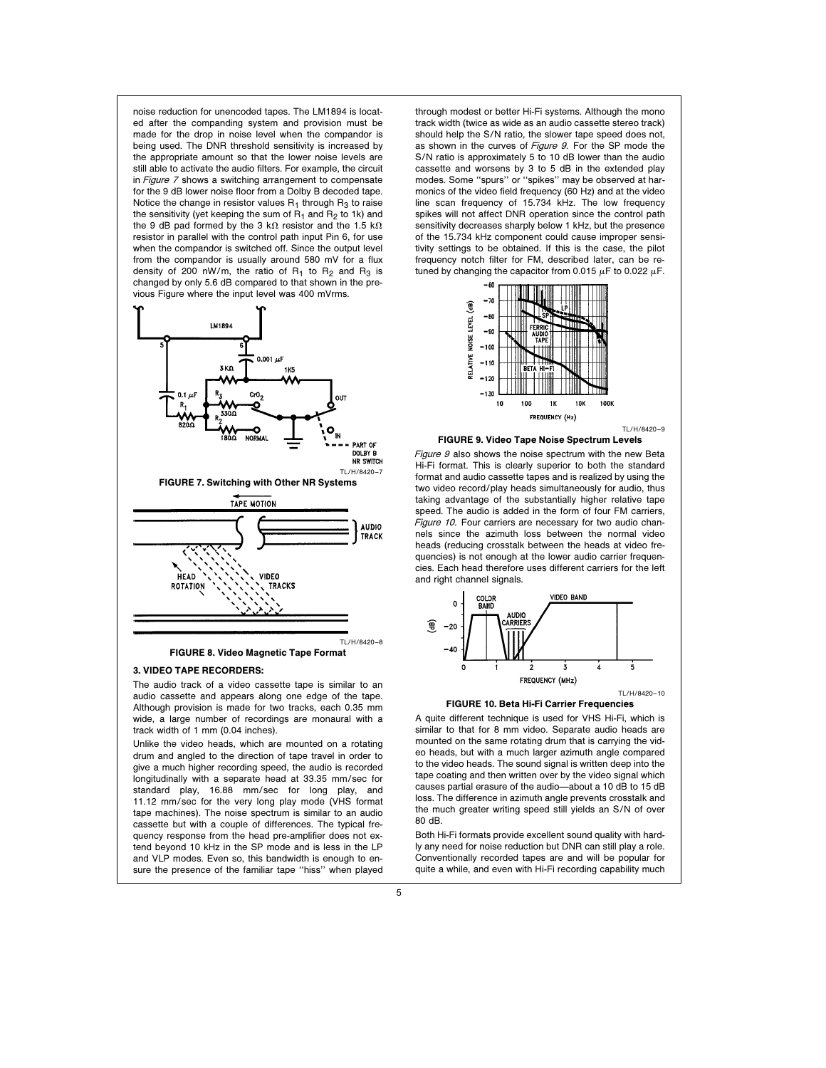noise reduction for unencoded tapes. The LM1894 is located after the companding system and provision must be made for the drop in noise level when the compandor is being used. The DNR threshold sensitivity is increased by the appropriate amount so that the lower noise levels are still able to activate the audio filters. For example, the circuit in Figure 7 shows a switching arrangement to compensate for the 9 dB lower noise floor from a Dolby B decoded tape. Notice the change in resistor values  $R_1$  through  $R_3$  to raise the sensitivity (yet keeping the sum of  $R_1$  and  $R_2$  to 1k) and the 9 dB pad formed by the 3 k $\Omega$  resistor and the 1.5 k $\Omega$ resistor in parallel with the control path input Pin 6, for use when the compandor is switched off. Since the output level from the compandor is usually around 580 mV for a flux density of 200 nW/m, the ratio of  $R_1$  to  $R_2$  and  $R_3$  is changed by only 5.6 dB compared to that shown in the previous Figure where the input level was 400 mVrms.



#### 3. VIDEO TAPE RECORDERS:

The audio track of a video cassette tape is similar to an audio cassette and appears along one edge of the tape. Although provision is made for two tracks, each 0.35 mm wide, a large number of recordings are monaural with a track width of 1 mm (0.04 inches).

Unlike the video heads, which are mounted on a rotating drum and angled to the direction of tape travel in order to give a much higher recording speed, the audio is recorded longitudinally with a separate head at 33.35 mm/sec for standard play, 16.88 mm/sec for long play, and 11.12 mm/sec for the very long play mode (VHS format tape machines). The noise spectrum is similar to an audio cassette but with a couple of differences. The typical frequency response from the head pre-amplifier does not extend beyond 10 kHz in the SP mode and is less in the LP and VLP modes. Even so, this bandwidth is enough to ensure the presence of the familiar tape ''hiss'' when played

through modest or better Hi-Fi systems. Although the mono track width (twice as wide as an audio cassette stereo track) should help the S/N ratio, the slower tape speed does not, as shown in the curves of Figure 9. For the SP mode the S/N ratio is approximately 5 to 10 dB lower than the audio cassette and worsens by 3 to 5 dB in the extended play modes. Some ''spurs'' or ''spikes'' may be observed at harmonics of the video field frequency (60 Hz) and at the video line scan frequency of 15.734 kHz. The low frequency spikes will not affect DNR operation since the control path sensitivity decreases sharply below 1 kHz, but the presence of the 15.734 kHz component could cause improper sensitivity settings to be obtained. If this is the case, the pilot frequency notch filter for FM, described later, can be retuned by changing the capacitor from 0.015  $\mu$ F to 0.022  $\mu$ F.



#### FIGURE 9. Video Tape Noise Spectrum Levels

Figure 9 also shows the noise spectrum with the new Beta Hi-Fi format. This is clearly superior to both the standard format and audio cassette tapes and is realized by using the two video record/play heads simultaneously for audio, thus taking advantage of the substantially higher relative tape speed. The audio is added in the form of four FM carriers, Figure 10. Four carriers are necessary for two audio channels since the azimuth loss between the normal video heads (reducing crosstalk between the heads at video frequencies) is not enough at the lower audio carrier frequencies. Each head therefore uses different carriers for the left and right channel signals.



#### FIGURE 10. Beta Hi-Fi Carrier Frequencies

A quite different technique is used for VHS Hi-Fi, which is similar to that for 8 mm video. Separate audio heads are mounted on the same rotating drum that is carrying the video heads, but with a much larger azimuth angle compared to the video heads. The sound signal is written deep into the tape coating and then written over by the video signal which causes partial erasure of the audio-about a 10 dB to 15 dB loss. The difference in azimuth angle prevents crosstalk and the much greater writing speed still yields an S/N of over 80 dB.

Both Hi-Fi formats provide excellent sound quality with hardly any need for noise reduction but DNR can still play a role. Conventionally recorded tapes are and will be popular for quite a while, and even with Hi-Fi recording capability much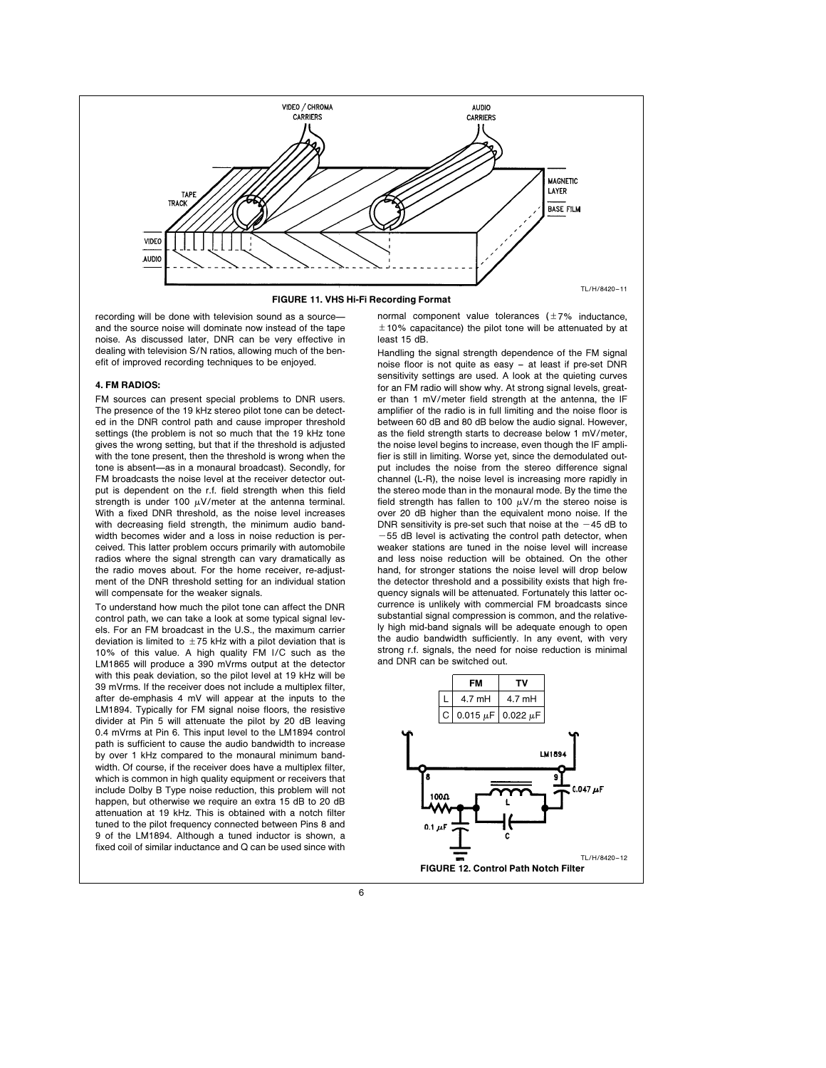

FIGURE 11. VHS Hi-Fi Recording Format

recording will be done with television sound as a sourceand the source noise will dominate now instead of the tape noise. As discussed later, DNR can be very effective in dealing with television S/N ratios, allowing much of the benefit of improved recording techniques to be enjoyed.

## 4. FM RADIOS:

FM sources can present special problems to DNR users. The presence of the 19 kHz stereo pilot tone can be detected in the DNR control path and cause improper threshold settings (the problem is not so much that the 19 kHz tone gives the wrong setting, but that if the threshold is adjusted with the tone present, then the threshold is wrong when the tone is absent—as in a monaural broadcast). Secondly, for FM broadcasts the noise level at the receiver detector output is dependent on the r.f. field strength when this field strength is under 100  $\mu$ V/meter at the antenna terminal. With a fixed DNR threshold, as the noise level increases with decreasing field strength, the minimum audio bandwidth becomes wider and a loss in noise reduction is perceived. This latter problem occurs primarily with automobile radios where the signal strength can vary dramatically as the radio moves about. For the home receiver, re-adjustment of the DNR threshold setting for an individual station will compensate for the weaker signals.

To understand how much the pilot tone can affect the DNR control path, we can take a look at some typical signal levels. For an FM broadcast in the U.S., the maximum carrier deviation is limited to  $+75$  kHz with a pilot deviation that is 10% of this value. A high quality FM I/C such as the LM1865 will produce a 390 mVrms output at the detector with this peak deviation, so the pilot level at 19 kHz will be 39 mVrms. If the receiver does not include a multiplex filter, after de-emphasis 4 mV will appear at the inputs to the LM1894. Typically for FM signal noise floors, the resistive divider at Pin 5 will attenuate the pilot by 20 dB leaving 0.4 mVrms at Pin 6. This input level to the LM1894 control path is sufficient to cause the audio bandwidth to increase by over 1 kHz compared to the monaural minimum bandwidth. Of course, if the receiver does have a multiplex filter, which is common in high quality equipment or receivers that include Dolby B Type noise reduction, this problem will not happen, but otherwise we require an extra 15 dB to 20 dB attenuation at 19 kHz. This is obtained with a notch filter tuned to the pilot frequency connected between Pins 8 and 9 of the LM1894. Although a tuned inductor is shown, a fixed coil of similar inductance and Q can be used since with

normal component value tolerances  $(\pm 7\%$  inductance,  $\pm$  10% capacitance) the pilot tone will be attenuated by at least 15 dB.

Handling the signal strength dependence of the FM signal noise floor is not quite as easy – at least if pre-set DNR sensitivity settings are used. A look at the quieting curves for an FM radio will show why. At strong signal levels, greater than 1 mV/meter field strength at the antenna, the IF amplifier of the radio is in full limiting and the noise floor is between 60 dB and 80 dB below the audio signal. However, as the field strength starts to decrease below 1 mV/meter, the noise level begins to increase, even though the IF amplifier is still in limiting. Worse yet, since the demodulated output includes the noise from the stereo difference signal channel (L-R), the noise level is increasing more rapidly in the stereo mode than in the monaural mode. By the time the field strength has fallen to 100  $\mu$ V/m the stereo noise is over 20 dB higher than the equivalent mono noise. If the DNR sensitivity is pre-set such that noise at the  $-45$  dB to  $-55$  dB level is activating the control path detector, when weaker stations are tuned in the noise level will increase and less noise reduction will be obtained. On the other hand, for stronger stations the noise level will drop below the detector threshold and a possibility exists that high frequency signals will be attenuated. Fortunately this latter occurrence is unlikely with commercial FM broadcasts since substantial signal compression is common, and the relatively high mid-band signals will be adequate enough to open the audio bandwidth sufficiently. In any event, with very strong r.f. signals, the need for noise reduction is minimal and DNR can be switched out.

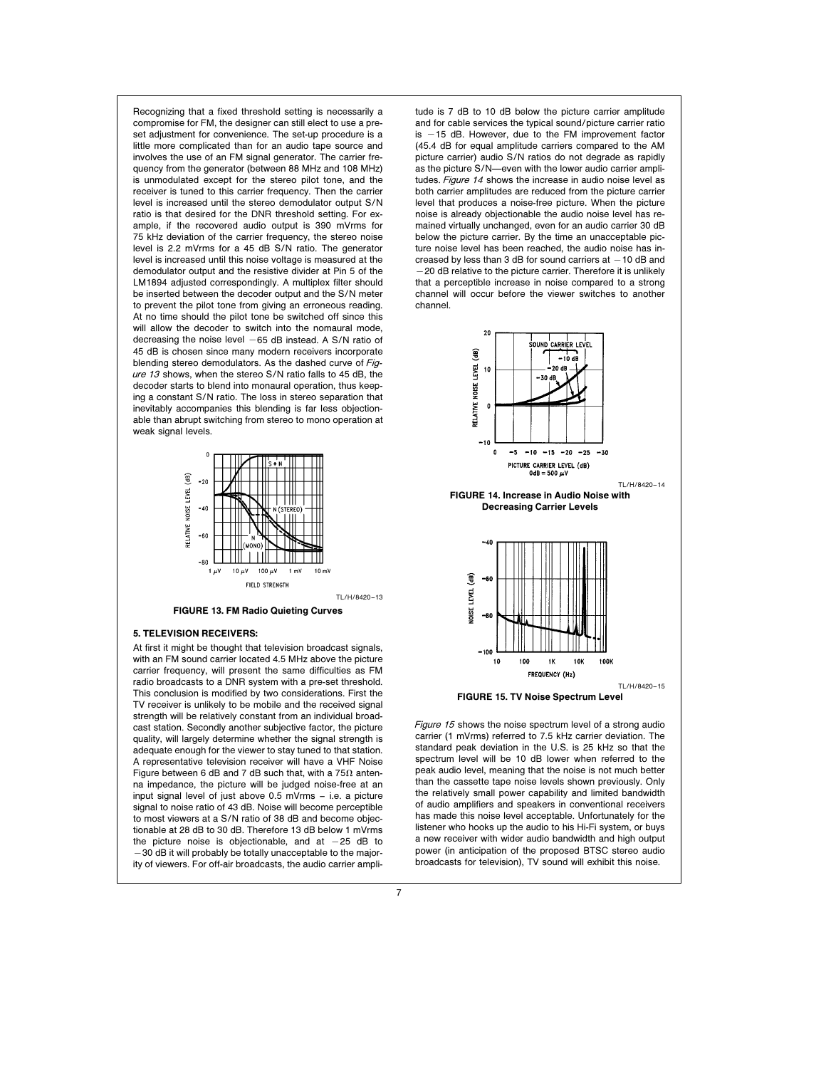Recognizing that a fixed threshold setting is necessarily a compromise for FM, the designer can still elect to use a preset adjustment for convenience. The set-up procedure is a little more complicated than for an audio tape source and involves the use of an FM signal generator. The carrier frequency from the generator (between 88 MHz and 108 MHz) is unmodulated except for the stereo pilot tone, and the receiver is tuned to this carrier frequency. Then the carrier level is increased until the stereo demodulator output S/N ratio is that desired for the DNR threshold setting. For example, if the recovered audio output is 390 mVrms for 75 kHz deviation of the carrier frequency, the stereo noise level is 2.2 mVrms for a 45 dB S/N ratio. The generator level is increased until this noise voltage is measured at the demodulator output and the resistive divider at Pin 5 of the LM1894 adjusted correspondingly. A multiplex filter should be inserted between the decoder output and the S/N meter to prevent the pilot tone from giving an erroneous reading. At no time should the pilot tone be switched off since this will allow the decoder to switch into the nomaural mode. decreasing the noise level  $-65$  dB instead. A S/N ratio of 45 dB is chosen since many modern receivers incorporate blending stereo demodulators. As the dashed curve of Figure 13 shows, when the stereo S/N ratio falls to 45 dB, the decoder starts to blend into monaural operation, thus keeping a constant S/N ratio. The loss in stereo separation that inevitably accompanies this blending is far less objectionable than abrupt switching from stereo to mono operation at weak signal levels.



FIGURE 13. FM Radio Quieting Curves

#### 5. TELEVISION RECEIVERS:

At first it might be thought that television broadcast signals, with an FM sound carrier located 4.5 MHz above the picture carrier frequency, will present the same difficulties as FM radio broadcasts to a DNR system with a pre-set threshold. This conclusion is modified by two considerations. First the TV receiver is unlikely to be mobile and the received signal strength will be relatively constant from an individual broadcast station. Secondly another subjective factor, the picture quality, will largely determine whether the signal strength is adequate enough for the viewer to stay tuned to that station. A representative television receiver will have a VHF Noise Figure between 6 dB and 7 dB such that, with a  $75\Omega$  antenna impedance, the picture will be judged noise-free at an input signal level of just above 0.5 mVrms – i.e. a picture signal to noise ratio of 43 dB. Noise will become perceptible to most viewers at a S/N ratio of 38 dB and become objectionable at 28 dB to 30 dB. Therefore 13 dB below 1 mVrms the picture noise is objectionable, and at  $-25$  dB to  $-30$  dB it will probably be totally unacceptable to the majority of viewers. For off-air broadcasts, the audio carrier ampli-

tude is 7 dB to 10 dB below the picture carrier amplitude and for cable services the typical sound/picture carrier ratio is  $-15$  dB. However, due to the FM improvement factor (45.4 dB for equal amplitude carriers compared to the AM picture carrier) audio S/N ratios do not degrade as rapidly as the picture S/N-even with the lower audio carrier amplitudes. Figure 14 shows the increase in audio noise level as both carrier amplitudes are reduced from the picture carrier level that produces a noise-free picture. When the picture noise is already objectionable the audio noise level has remained virtually unchanged, even for an audio carrier 30 dB below the picture carrier. By the time an unacceptable picture noise level has been reached, the audio noise has increased by less than 3 dB for sound carriers at  $-10$  dB and -20 dB relative to the picture carrier. Therefore it is unlikely that a perceptible increase in noise compared to a strong channel will occur before the viewer switches to another channel.



Figure 15 shows the noise spectrum level of a strong audio carrier (1 mVrms) referred to 7.5 kHz carrier deviation. The standard peak deviation in the U.S. is 25 kHz so that the spectrum level will be 10 dB lower when referred to the peak audio level, meaning that the noise is not much better than the cassette tape noise levels shown previously. Only the relatively small power capability and limited bandwidth of audio amplifiers and speakers in conventional receivers has made this noise level acceptable. Unfortunately for the listener who hooks up the audio to his Hi-Fi system, or buys a new receiver with wider audio bandwidth and high output power (in anticipation of the proposed BTSC stereo audio broadcasts for television), TV sound will exhibit this noise.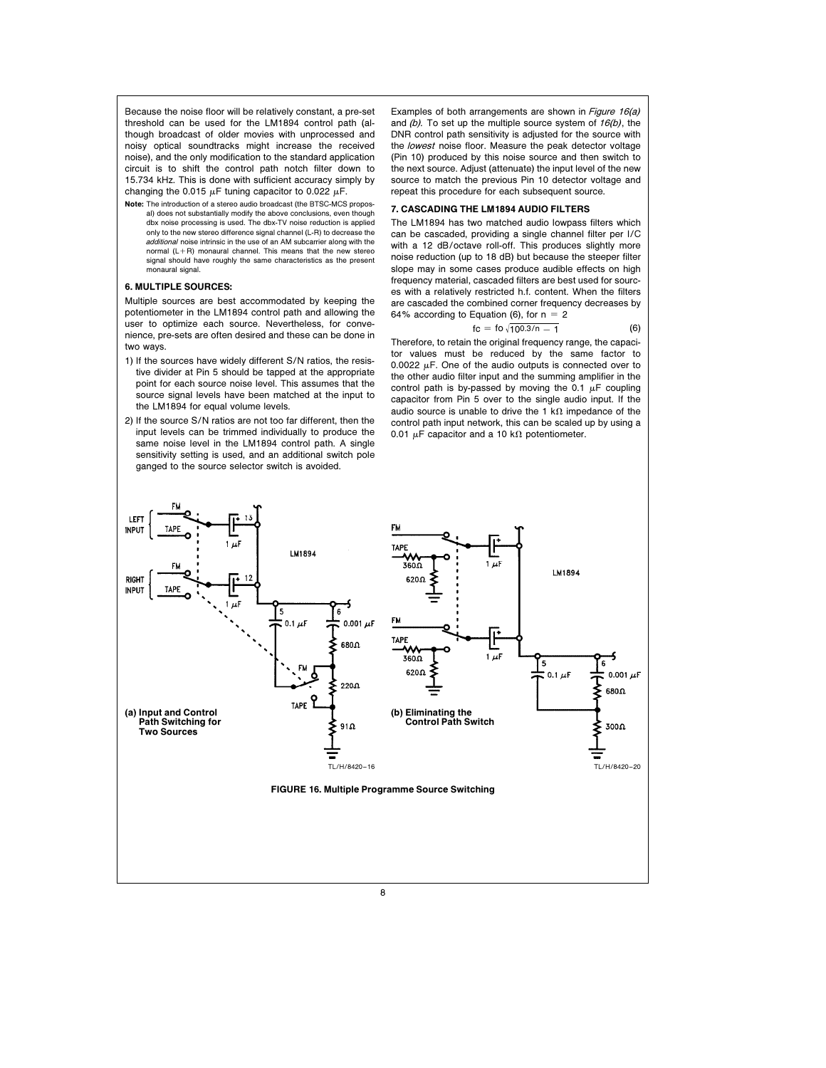Because the noise floor will be relatively constant, a pre-set threshold can be used for the LM1894 control path (although broadcast of older movies with unprocessed and noisy optical soundtracks might increase the received noise), and the only modification to the standard application circuit is to shift the control path notch filter down to 15.734 kHz. This is done with sufficient accuracy simply by changing the 0.015  $\mu$ F tuning capacitor to 0.022  $\mu$ F.

Note: The introduction of a stereo audio broadcast (the BTSC-MCS proposal) does not substantially modify the above conclusions, even though dbx noise processing is used. The dbx-TV noise reduction is applied only to the new stereo difference signal channel (L-R) to decrease the additional noise intrinsic in the use of an AM subcarrier along with the normal  $(l + R)$  monaural channel. This means that the new stereor signal should have roughly the same characteristics as the present monaural signal.

## 6. MULTIPLE SOURCES:

Multiple sources are best accommodated by keeping the potentiometer in the LM1894 control path and allowing the user to optimize each source. Nevertheless, for convenience, pre-sets are often desired and these can be done in two ways.

- 1) If the sources have widely different S/N ratios, the resistive divider at Pin 5 should be tapped at the appropriate point for each source noise level. This assumes that the source signal levels have been matched at the input to the LM1894 for equal volume levels.
- 2) If the source S/N ratios are not too far different, then the input levels can be trimmed individually to produce the same noise level in the LM1894 control path. A single sensitivity setting is used, and an additional switch pole ganged to the source selector switch is avoided.

Examples of both arrangements are shown in *Figure 16(a)* and  $(b)$ . To set up the multiple source system of  $16(b)$ , the DNR control path sensitivity is adjusted for the source with the lowest noise floor. Measure the peak detector voltage (Pin 10) produced by this noise source and then switch to the next source. Adjust (attenuate) the input level of the new source to match the previous Pin 10 detector voltage and repeat this procedure for each subsequent source.

## 7. CASCADING THE LM1894 AUDIO FILTERS

The LM1894 has two matched audio lowpass filters which can be cascaded, providing a single channel filter per I/C with a 12 dB/octave roll-off. This produces slightly more noise reduction (up to 18 dB) but because the steeper filter slope may in some cases produce audible effects on high frequency material, cascaded filters are best used for sources with a relatively restricted h.f. content. When the filters are cascaded the combined corner frequency decreases by 64% according to Equation (6), for  $n = 2$ 

$$
fc = fo \sqrt{10^{0.3/n} - 1}
$$
 (6)

Therefore, to retain the original frequency range, the capacitor values must be reduced by the same factor to 0.0022  $\mu$ F. One of the audio outputs is connected over to the other audio filter input and the summing amplifier in the control path is by-passed by moving the 0.1  $\mu$ F coupling capacitor from Pin 5 over to the single audio input. If the audio source is unable to drive the 1 k $\Omega$  impedance of the control path input network, this can be scaled up by using a 0.01  $\mu$ F capacitor and a 10 k $\Omega$  potentiometer.

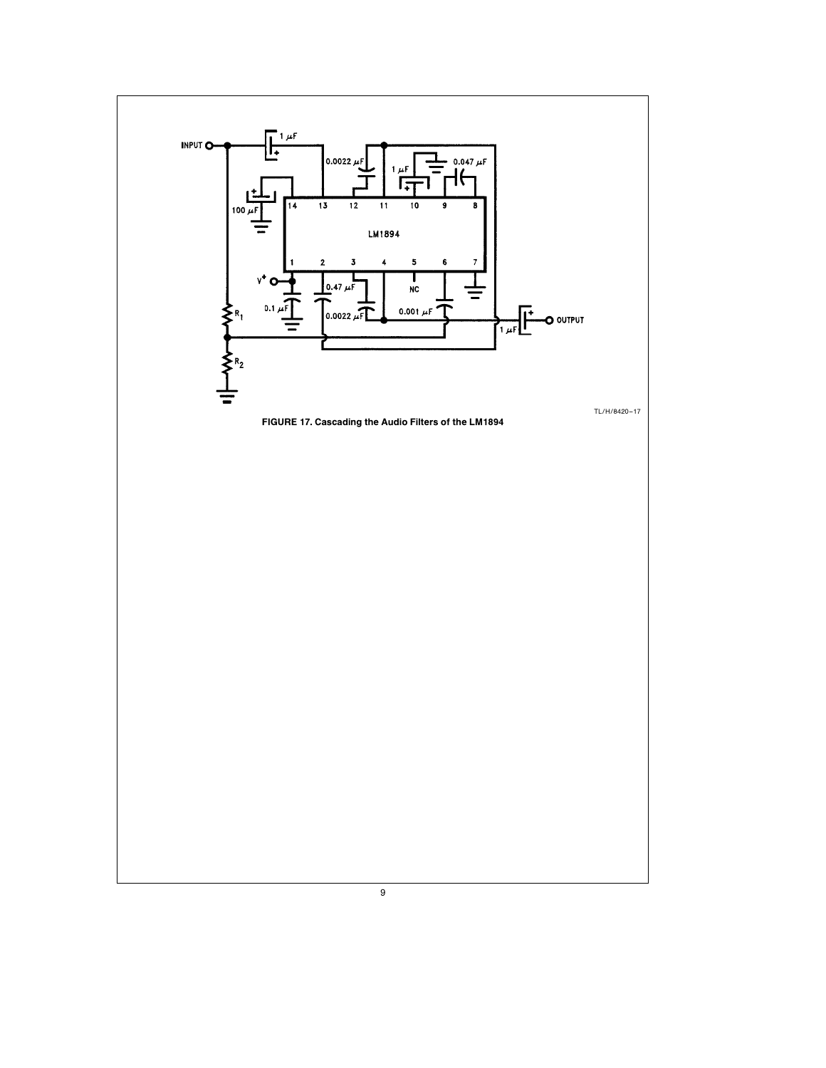